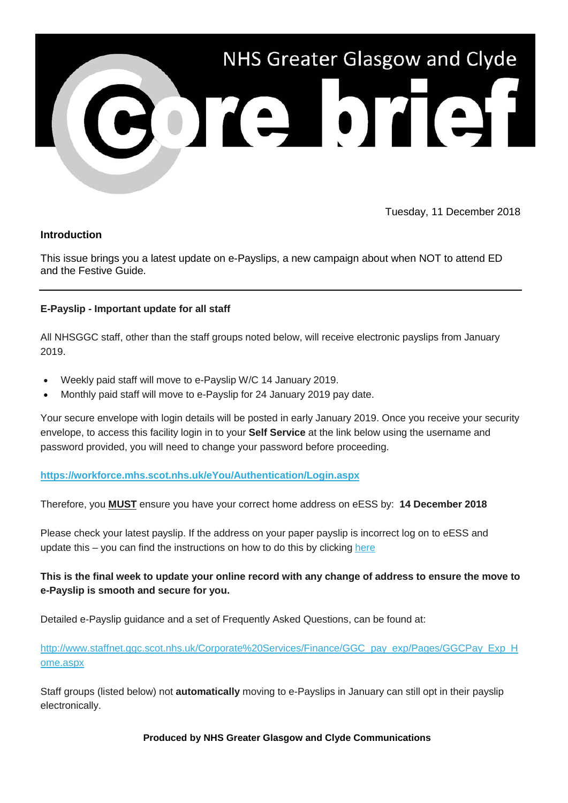

Tuesday, 11 December 2018

## **Introduction**

This issue brings you a latest update on e-Payslips, a new campaign about when NOT to attend ED and the Festive Guide.

## **E-Payslip - Important update for all staff**

All NHSGGC staff, other than the staff groups noted below, will receive electronic payslips from January 2019.

- Weekly paid staff will move to e-Payslip W/C 14 January 2019.
- Monthly paid staff will move to e-Payslip for 24 January 2019 pay date.

Your secure envelope with login details will be posted in early January 2019. Once you receive your security envelope, to access this facility login in to your **Self Service** at the link below using the username and password provided, you will need to change your password before proceeding.

#### **[https://workforce.mhs.scot.nhs.uk/eYou/Authentication/Login.aspx](https://nhsggc.us12.list-manage.com/track/click?u=0f385b5aea37eaf0213bd19fb&id=e1f1b62574&e=5af5e1832c)**

Therefore, you **MUST** ensure you have your correct home address on eESS by: **14 December 2018**

Please check your latest payslip. If the address on your paper payslip is incorrect log on to eESS and update this – you can find the instructions on how to do this by clicking [here](https://nhsggc.us12.list-manage.com/track/click?u=0f385b5aea37eaf0213bd19fb&id=e95818ad4a&e=5af5e1832c)

# **This is the final week to update your online record with any change of address to ensure the move to e-Payslip is smooth and secure for you.**

Detailed e-Payslip guidance and a set of Frequently Asked Questions, can be found at:

[http://www.staffnet.ggc.scot.nhs.uk/Corporate%20Services/Finance/GGC\\_pay\\_exp/Pages/GGCPay\\_Exp\\_H](https://nhsggc.us12.list-manage.com/track/click?u=0f385b5aea37eaf0213bd19fb&id=9d79d67f85&e=5af5e1832c) [ome.aspx](https://nhsggc.us12.list-manage.com/track/click?u=0f385b5aea37eaf0213bd19fb&id=9d79d67f85&e=5af5e1832c)

Staff groups (listed below) not **automatically** moving to e-Payslips in January can still opt in their payslip electronically.

#### **Produced by NHS Greater Glasgow and Clyde Communications**